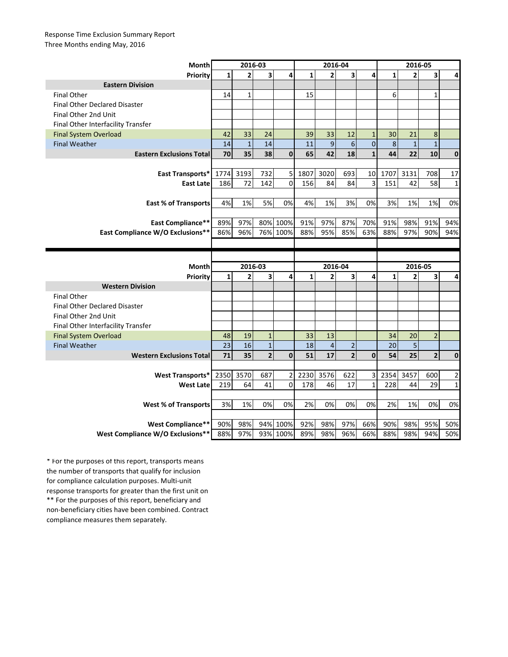## Response Time Exclusion Summary Report Three Months ending May, 2016

| Month                                                        | 2016-03      |                         |                         |                  | 2016-04      |                |                         |                | 2016-05      |                |                         |                         |
|--------------------------------------------------------------|--------------|-------------------------|-------------------------|------------------|--------------|----------------|-------------------------|----------------|--------------|----------------|-------------------------|-------------------------|
| <b>Priority</b>                                              | 1            | $\overline{\mathbf{2}}$ | $\overline{\mathbf{3}}$ | 4                | $\mathbf{1}$ | $\overline{2}$ | $\overline{\mathbf{3}}$ | 4              | $\mathbf{1}$ | $\overline{2}$ | 3                       | 4                       |
| <b>Eastern Division</b>                                      |              |                         |                         |                  |              |                |                         |                |              |                |                         |                         |
| <b>Final Other</b>                                           | 14           | $\mathbf{1}$            |                         |                  | 15           |                |                         |                | 6            |                | $\mathbf{1}$            |                         |
| <b>Final Other Declared Disaster</b>                         |              |                         |                         |                  |              |                |                         |                |              |                |                         |                         |
| Final Other 2nd Unit                                         |              |                         |                         |                  |              |                |                         |                |              |                |                         |                         |
| Final Other Interfacility Transfer                           |              |                         |                         |                  |              |                |                         |                |              |                |                         |                         |
| <b>Final System Overload</b>                                 | 42           | 33                      | 24                      |                  | 39           | 33             | 12                      | $\mathbf{1}$   | 30           | 21             | 8                       |                         |
| <b>Final Weather</b>                                         | 14           | $\mathbf{1}$            | 14                      |                  | 11           | 9              | 6                       | $\overline{0}$ | 8            | $\mathbf{1}$   | $\mathbf 1$             |                         |
| <b>Eastern Exclusions Total</b>                              | 70           | 35                      | 38                      | $\mathbf{0}$     | 65           | 42             | 18                      | $\mathbf{1}$   | 44           | 22             | 10                      | $\bf{0}$                |
|                                                              |              |                         |                         |                  |              |                |                         |                |              |                |                         |                         |
| East Transports*                                             | 1774         | 3193                    | 732                     | 5                | 1807         | 3020           | 693                     | 10             | 1707         | 3131           | 708                     | 17                      |
| <b>East Late</b>                                             | 186          | 72                      | 142                     | 0                | 156          | 84             | 84                      | 3              | 151          | 42             | 58                      | 1                       |
|                                                              |              |                         |                         |                  |              |                |                         |                |              |                |                         |                         |
| <b>East % of Transports</b>                                  | 4%           | 1%                      | 5%                      | 0%               | 4%           | 1%             | 3%                      | 0%             | 3%           | 1%             | 1%                      | 0%                      |
|                                                              |              |                         |                         |                  |              |                |                         |                |              |                |                         |                         |
| <b>East Compliance**</b>                                     | 89%          | 97%                     | 80%                     | 100%             | 91%          | 97%            | 87%                     | 70%            | 91%          | 98%            | 91%                     | 94%                     |
| East Compliance W/O Exclusions**                             | 86%          | 96%                     |                         | 76% 100%         | 88%          | 95%            | 85%                     | 63%            | 88%          | 97%            | 90%                     | 94%                     |
|                                                              |              |                         |                         |                  |              |                |                         |                |              |                |                         |                         |
|                                                              |              |                         |                         |                  |              |                |                         |                |              |                |                         |                         |
|                                                              |              |                         |                         |                  |              |                |                         |                |              |                |                         |                         |
| Month                                                        |              | 2016-03                 |                         |                  |              | 2016-04        |                         |                |              | 2016-05        |                         |                         |
| Priority                                                     | $\mathbf{1}$ | 2                       | 3                       | 4                | $\mathbf{1}$ | $\overline{2}$ | 3                       | 4              | $\mathbf{1}$ | $\overline{2}$ | 3                       | 4                       |
| <b>Western Division</b>                                      |              |                         |                         |                  |              |                |                         |                |              |                |                         |                         |
| <b>Final Other</b>                                           |              |                         |                         |                  |              |                |                         |                |              |                |                         |                         |
| <b>Final Other Declared Disaster</b>                         |              |                         |                         |                  |              |                |                         |                |              |                |                         |                         |
| Final Other 2nd Unit                                         |              |                         |                         |                  |              |                |                         |                |              |                |                         |                         |
| Final Other Interfacility Transfer                           |              |                         |                         |                  |              |                |                         |                |              |                |                         |                         |
| <b>Final System Overload</b>                                 | 48           | 19                      | $\mathbf{1}$            |                  | 33           | 13             |                         |                | 34           | 20             | $\overline{2}$          |                         |
| <b>Final Weather</b>                                         | 23           | 16                      | $\mathbf{1}$            |                  | 18           | $\overline{4}$ | $\overline{2}$          |                | 20           | 5              |                         |                         |
| <b>Western Exclusions Total</b>                              | 71           | 35                      | $\overline{2}$          | $\mathbf 0$      | 51           | 17             | $\overline{2}$          | $\mathbf{0}$   | 54           | 25             | $\overline{\mathbf{2}}$ | $\mathbf 0$             |
|                                                              |              |                         |                         |                  |              |                |                         |                |              |                |                         |                         |
| <b>West Transports*</b>                                      | 2350         | 3570                    | 687                     | 2                | 2230         | 3576           | 622                     | 3              | 2354         | 3457           | 600                     | $\overline{\mathbf{c}}$ |
| <b>West Late</b>                                             | 219          | 64                      | 41                      | $\Omega$         | 178          | 46             | 17                      | $\mathbf{1}$   | 228          | 44             | 29                      | $\mathbf{1}$            |
|                                                              |              |                         |                         |                  |              |                |                         |                |              |                |                         |                         |
| <b>West % of Transports</b>                                  | 3%           | 1%                      | 0%                      | 0%               | 2%           | 0%             | 0%                      | 0%             | 2%           | 1%             | 0%                      | 0%                      |
|                                                              |              |                         |                         |                  |              |                |                         |                |              |                |                         |                         |
| <b>West Compliance**</b><br>West Compliance W/O Exclusions** | 90%<br>88%   | 98%<br>97%              | 94%                     | 100%<br>93% 100% | 92%<br>89%   | 98%<br>98%     | 97%<br>96%              | 66%<br>66%     | 90%<br>88%   | 98%<br>98%     | 95%<br>94%              | 50%<br>50%              |

\*\* For the purposes of this report, beneficiary and non-beneficiary cities have been combined. Contract compliance measures them separately. \* For the purposes of this report, transports means the number of transports that qualify for inclusion for compliance calculation purposes. Multi-unit response transports for greater than the first unit on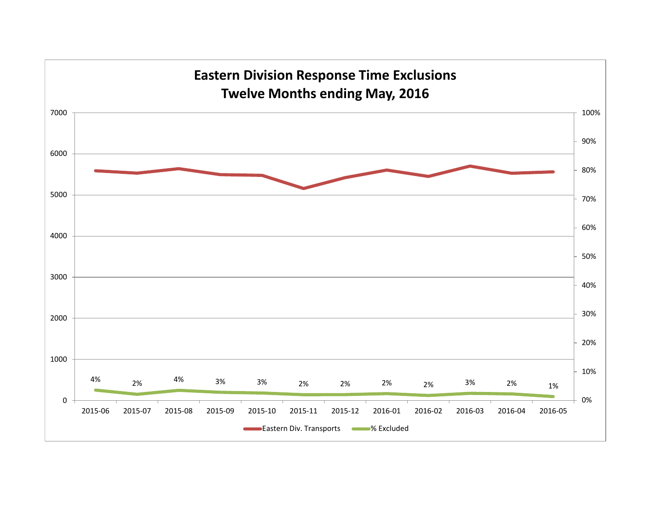